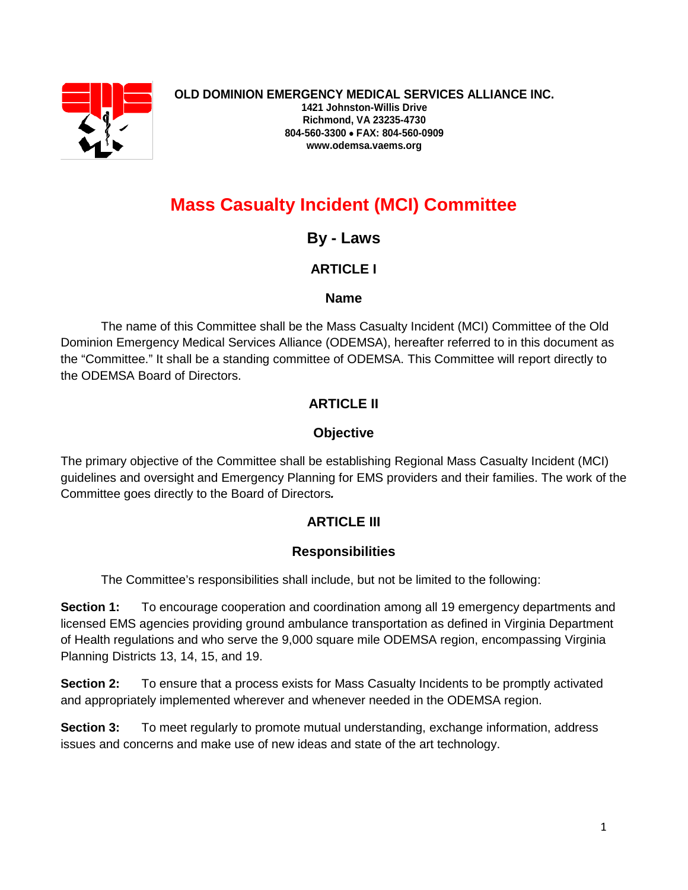

# **Mass Casualty Incident (MCI) Committee**

**By - Laws**

# **ARTICLE I**

## **Name**

The name of this Committee shall be the Mass Casualty Incident (MCI) Committee of the Old Dominion Emergency Medical Services Alliance (ODEMSA), hereafter referred to in this document as the "Committee." It shall be a standing committee of ODEMSA. This Committee will report directly to the ODEMSA Board of Directors.

# **ARTICLE II**

# **Objective**

The primary objective of the Committee shall be establishing Regional Mass Casualty Incident (MCI) guidelines and oversight and Emergency Planning for EMS providers and their families. The work of the Committee goes directly to the Board of Directors*.*

# **ARTICLE III**

## **Responsibilities**

The Committee's responsibilities shall include, but not be limited to the following:

**Section 1:** To encourage cooperation and coordination among all 19 emergency departments and licensed EMS agencies providing ground ambulance transportation as defined in Virginia Department of Health regulations and who serve the 9,000 square mile ODEMSA region, encompassing Virginia Planning Districts 13, 14, 15, and 19.

**Section 2:** To ensure that a process exists for Mass Casualty Incidents to be promptly activated and appropriately implemented wherever and whenever needed in the ODEMSA region.

**Section 3:** To meet regularly to promote mutual understanding, exchange information, address issues and concerns and make use of new ideas and state of the art technology.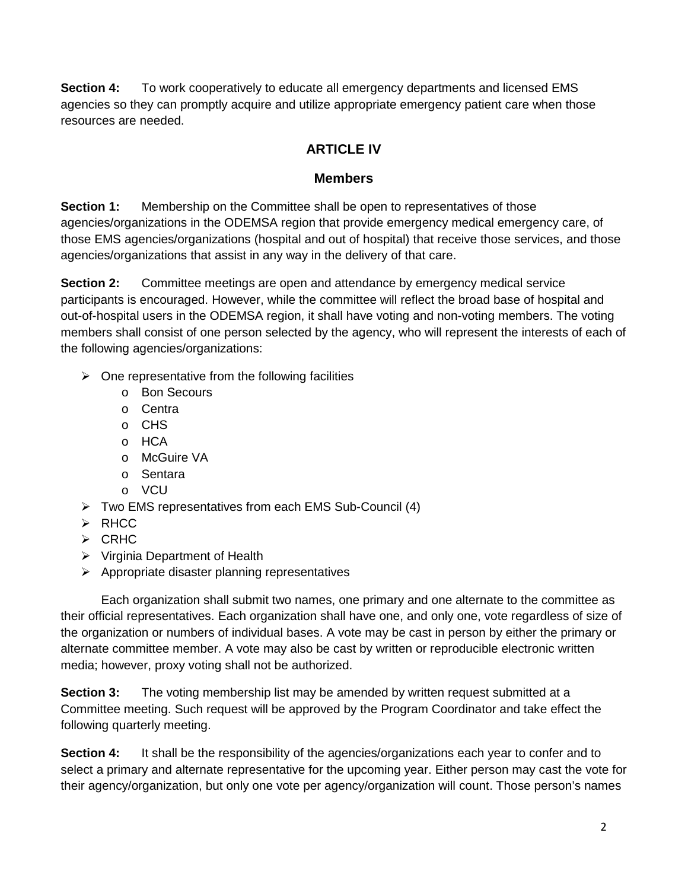**Section 4:** To work cooperatively to educate all emergency departments and licensed EMS agencies so they can promptly acquire and utilize appropriate emergency patient care when those resources are needed.

## **ARTICLE IV**

#### **Members**

**Section 1:** Membership on the Committee shall be open to representatives of those agencies/organizations in the ODEMSA region that provide emergency medical emergency care, of those EMS agencies/organizations (hospital and out of hospital) that receive those services, and those agencies/organizations that assist in any way in the delivery of that care.

**Section 2:** Committee meetings are open and attendance by emergency medical service participants is encouraged. However, while the committee will reflect the broad base of hospital and out-of-hospital users in the ODEMSA region, it shall have voting and non-voting members. The voting members shall consist of one person selected by the agency, who will represent the interests of each of the following agencies/organizations:

- $\triangleright$  One representative from the following facilities
	- o Bon Secours
	- o Centra
	- o CHS
	- o HCA
	- o McGuire VA
	- o Sentara
	- o VCU
- Two EMS representatives from each EMS Sub-Council (4)
- $\triangleright$  RHCC
- $\triangleright$  CRHC
- $\triangleright$  Virginia Department of Health
- $\triangleright$  Appropriate disaster planning representatives

Each organization shall submit two names, one primary and one alternate to the committee as their official representatives. Each organization shall have one, and only one, vote regardless of size of the organization or numbers of individual bases. A vote may be cast in person by either the primary or alternate committee member. A vote may also be cast by written or reproducible electronic written media; however, proxy voting shall not be authorized.

**Section 3:** The voting membership list may be amended by written request submitted at a Committee meeting. Such request will be approved by the Program Coordinator and take effect the following quarterly meeting.

**Section 4:** It shall be the responsibility of the agencies/organizations each year to confer and to select a primary and alternate representative for the upcoming year. Either person may cast the vote for their agency/organization, but only one vote per agency/organization will count. Those person's names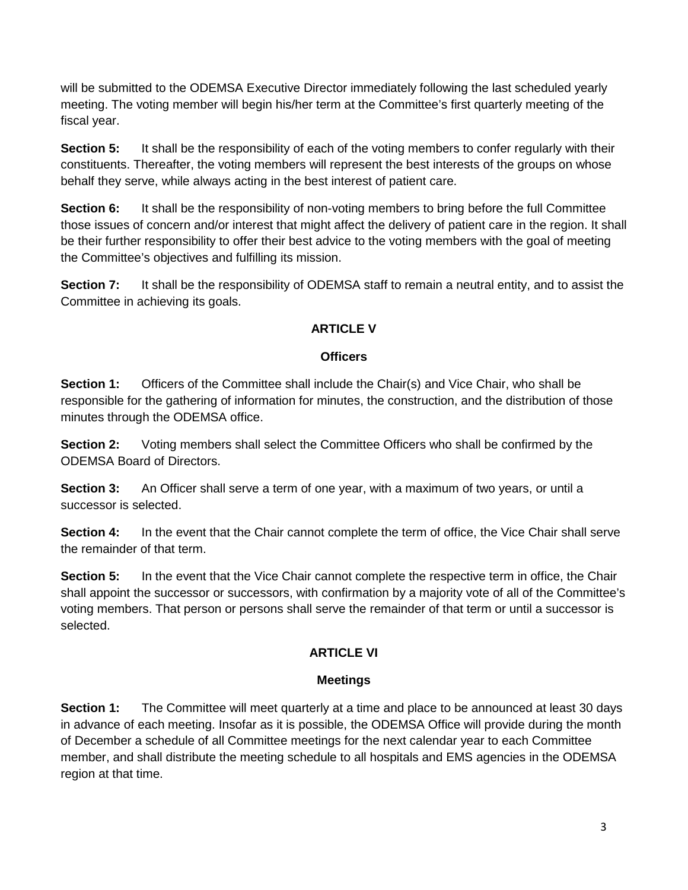will be submitted to the ODEMSA Executive Director immediately following the last scheduled yearly meeting. The voting member will begin his/her term at the Committee's first quarterly meeting of the fiscal year.

**Section 5:** It shall be the responsibility of each of the voting members to confer regularly with their constituents. Thereafter, the voting members will represent the best interests of the groups on whose behalf they serve, while always acting in the best interest of patient care.

**Section 6:** It shall be the responsibility of non-voting members to bring before the full Committee those issues of concern and/or interest that might affect the delivery of patient care in the region. It shall be their further responsibility to offer their best advice to the voting members with the goal of meeting the Committee's objectives and fulfilling its mission.

**Section 7:** It shall be the responsibility of ODEMSA staff to remain a neutral entity, and to assist the Committee in achieving its goals.

#### **ARTICLE V**

#### **Officers**

**Section 1:** Officers of the Committee shall include the Chair(s) and Vice Chair, who shall be responsible for the gathering of information for minutes, the construction, and the distribution of those minutes through the ODEMSA office.

**Section 2:** Voting members shall select the Committee Officers who shall be confirmed by the ODEMSA Board of Directors.

**Section 3:** An Officer shall serve a term of one year, with a maximum of two years, or until a successor is selected.

**Section 4:** In the event that the Chair cannot complete the term of office, the Vice Chair shall serve the remainder of that term.

**Section 5:** In the event that the Vice Chair cannot complete the respective term in office, the Chair shall appoint the successor or successors, with confirmation by a majority vote of all of the Committee's voting members. That person or persons shall serve the remainder of that term or until a successor is selected.

## **ARTICLE VI**

#### **Meetings**

**Section 1:** The Committee will meet quarterly at a time and place to be announced at least 30 days in advance of each meeting. Insofar as it is possible, the ODEMSA Office will provide during the month of December a schedule of all Committee meetings for the next calendar year to each Committee member, and shall distribute the meeting schedule to all hospitals and EMS agencies in the ODEMSA region at that time.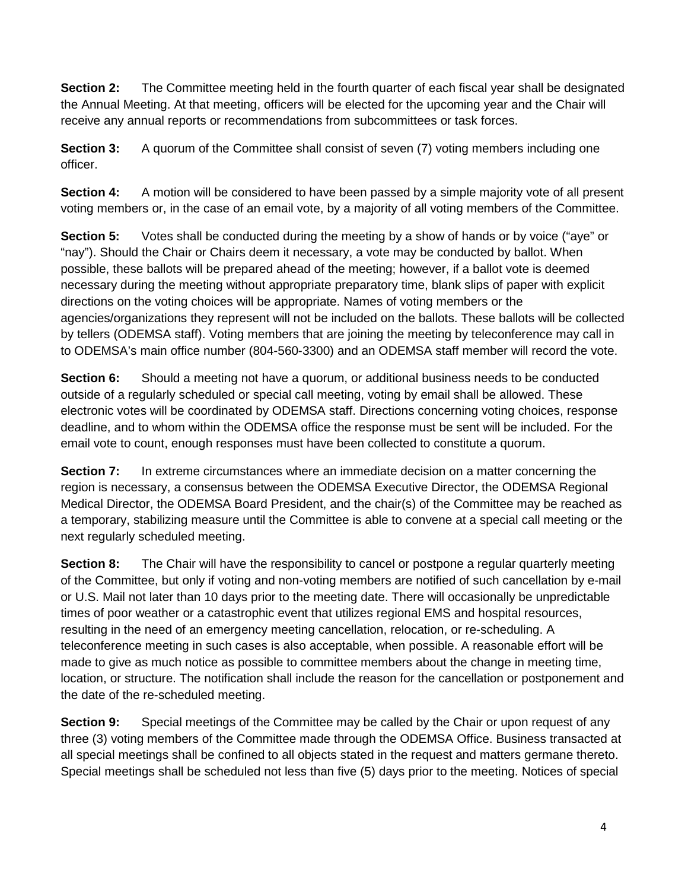**Section 2:** The Committee meeting held in the fourth quarter of each fiscal year shall be designated the Annual Meeting. At that meeting, officers will be elected for the upcoming year and the Chair will receive any annual reports or recommendations from subcommittees or task forces.

**Section 3:** A quorum of the Committee shall consist of seven (7) voting members including one officer.

**Section 4:** A motion will be considered to have been passed by a simple majority vote of all present voting members or, in the case of an email vote, by a majority of all voting members of the Committee.

**Section 5:** Votes shall be conducted during the meeting by a show of hands or by voice ("aye" or "nay"). Should the Chair or Chairs deem it necessary, a vote may be conducted by ballot. When possible, these ballots will be prepared ahead of the meeting; however, if a ballot vote is deemed necessary during the meeting without appropriate preparatory time, blank slips of paper with explicit directions on the voting choices will be appropriate. Names of voting members or the agencies/organizations they represent will not be included on the ballots. These ballots will be collected by tellers (ODEMSA staff). Voting members that are joining the meeting by teleconference may call in to ODEMSA's main office number (804-560-3300) and an ODEMSA staff member will record the vote.

**Section 6:** Should a meeting not have a quorum, or additional business needs to be conducted outside of a regularly scheduled or special call meeting, voting by email shall be allowed. These electronic votes will be coordinated by ODEMSA staff. Directions concerning voting choices, response deadline, and to whom within the ODEMSA office the response must be sent will be included. For the email vote to count, enough responses must have been collected to constitute a quorum.

**Section 7:** In extreme circumstances where an immediate decision on a matter concerning the region is necessary, a consensus between the ODEMSA Executive Director, the ODEMSA Regional Medical Director, the ODEMSA Board President, and the chair(s) of the Committee may be reached as a temporary, stabilizing measure until the Committee is able to convene at a special call meeting or the next regularly scheduled meeting.

**Section 8:** The Chair will have the responsibility to cancel or postpone a regular quarterly meeting of the Committee, but only if voting and non-voting members are notified of such cancellation by e-mail or U.S. Mail not later than 10 days prior to the meeting date. There will occasionally be unpredictable times of poor weather or a catastrophic event that utilizes regional EMS and hospital resources, resulting in the need of an emergency meeting cancellation, relocation, or re-scheduling. A teleconference meeting in such cases is also acceptable, when possible. A reasonable effort will be made to give as much notice as possible to committee members about the change in meeting time, location, or structure. The notification shall include the reason for the cancellation or postponement and the date of the re-scheduled meeting.

**Section 9:** Special meetings of the Committee may be called by the Chair or upon request of any three (3) voting members of the Committee made through the ODEMSA Office. Business transacted at all special meetings shall be confined to all objects stated in the request and matters germane thereto. Special meetings shall be scheduled not less than five (5) days prior to the meeting. Notices of special